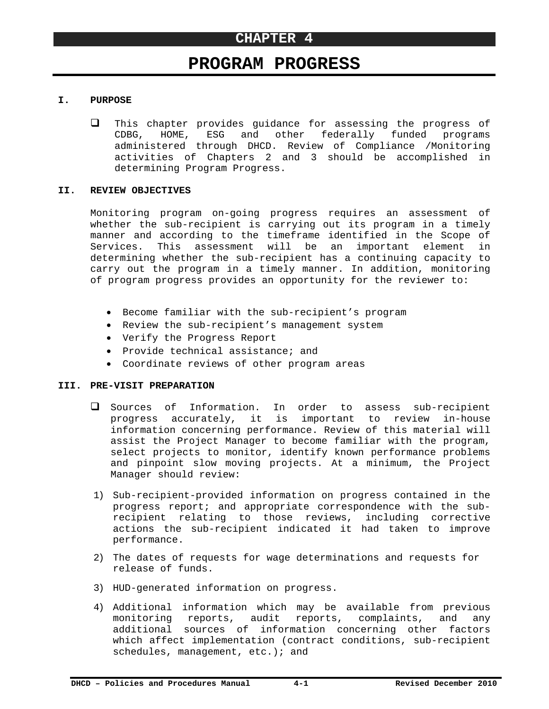# **PROGRAM PROGRESS**

### **I. PURPOSE**

 $\Box$  This chapter provides guidance for assessing the progress of CDBG, HOME, ESG and other federally funded programs administered through DHCD. Review of Compliance /Monitoring activities of Chapters 2 and 3 should be accomplished in determining Program Progress.

#### **II. REVIEW OBJECTIVES**

Monitoring program on-going progress requires an assessment of whether the sub-recipient is carrying out its program in a timely manner and according to the timeframe identified in the Scope of Services. This assessment will be an important element in determining whether the sub-recipient has a continuing capacity to carry out the program in a timely manner. In addition, monitoring of program progress provides an opportunity for the reviewer to:

- Become familiar with the sub-recipient's program
- Review the sub-recipient's management system
- Verify the Progress Report
- Provide technical assistance; and
- Coordinate reviews of other program areas

#### **III. PRE-VISIT PREPARATION**

- Sources of Information. In order to assess sub-recipient progress accurately, it is important to review in-house information concerning performance. Review of this material will assist the Project Manager to become familiar with the program, select projects to monitor, identify known performance problems and pinpoint slow moving projects. At a minimum, the Project Manager should review:
- 1) Sub-recipient-provided information on progress contained in the progress report; and appropriate correspondence with the subrecipient relating to those reviews, including corrective actions the sub-recipient indicated it had taken to improve performance.
- 2) The dates of requests for wage determinations and requests for release of funds.
- 3) HUD-generated information on progress.
- 4) Additional information which may be available from previous monitoring reports, audit reports, complaints, and any additional sources of information concerning other factors which affect implementation (contract conditions, sub-recipient schedules, management, etc.); and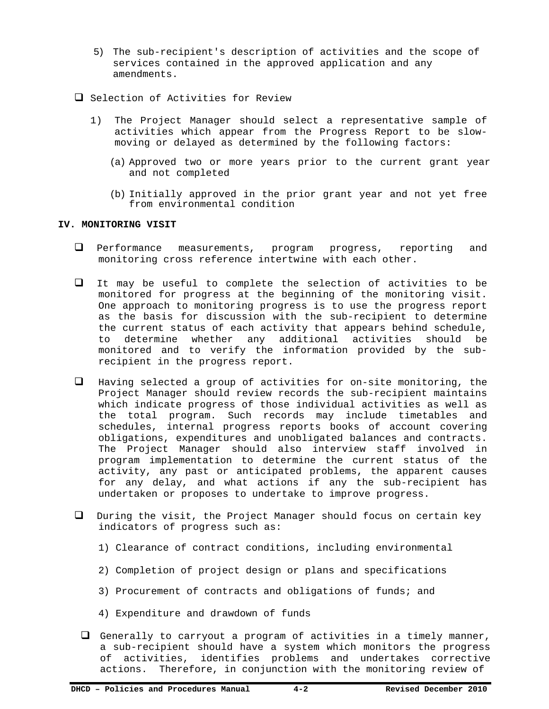- 5) The sub-recipient's description of activities and the scope of services contained in the approved application and any amendments.
- $\Box$  Selection of Activities for Review
	- 1) The Project Manager should select a representative sample of activities which appear from the Progress Report to be slowmoving or delayed as determined by the following factors:
		- (a) Approved two or more years prior to the current grant year and not completed
		- (b) Initially approved in the prior grant year and not yet free from environmental condition

### **IV. MONITORING VISIT**

- Performance measurements, program progress, reporting and monitoring cross reference intertwine with each other.
- It may be useful to complete the selection of activities to be monitored for progress at the beginning of the monitoring visit. One approach to monitoring progress is to use the progress report as the basis for discussion with the sub-recipient to determine the current status of each activity that appears behind schedule, to determine whether any additional activities should be monitored and to verify the information provided by the subrecipient in the progress report.
- $\Box$  Having selected a group of activities for on-site monitoring, the Project Manager should review records the sub-recipient maintains which indicate progress of those individual activities as well as the total program. Such records may include timetables and schedules, internal progress reports books of account covering obligations, expenditures and unobligated balances and contracts. The Project Manager should also interview staff involved in program implementation to determine the current status of the activity, any past or anticipated problems, the apparent causes for any delay, and what actions if any the sub-recipient has undertaken or proposes to undertake to improve progress.
- During the visit, the Project Manager should focus on certain key indicators of progress such as:
	- 1) Clearance of contract conditions, including environmental
	- 2) Completion of project design or plans and specifications
	- 3) Procurement of contracts and obligations of funds; and
	- 4) Expenditure and drawdown of funds
	- $\Box$  Generally to carryout a program of activities in a timely manner, a sub-recipient should have a system which monitors the progress of activities, identifies problems and undertakes corrective actions. Therefore, in conjunction with the monitoring review of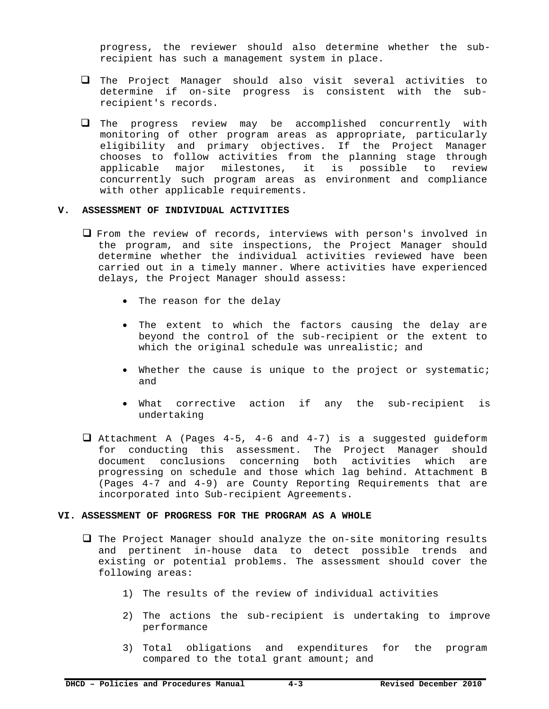progress, the reviewer should also determine whether the subrecipient has such a management system in place.

- The Project Manager should also visit several activities to determine if on-site progress is consistent with the subrecipient's records.
- The progress review may be accomplished concurrently with monitoring of other program areas as appropriate, particularly eligibility and primary objectives. If the Project Manager chooses to follow activities from the planning stage through applicable major milestones, it is possible to review concurrently such program areas as environment and compliance with other applicable requirements.

### **V. ASSESSMENT OF INDIVIDUAL ACTIVITIES**

- From the review of records, interviews with person's involved in the program, and site inspections, the Project Manager should determine whether the individual activities reviewed have been carried out in a timely manner. Where activities have experienced delays, the Project Manager should assess:
	- The reason for the delay
	- The extent to which the factors causing the delay are beyond the control of the sub-recipient or the extent to which the original schedule was unrealistic; and
	- Whether the cause is unique to the project or systematic; and
	- What corrective action if any the sub-recipient is undertaking
- Attachment A (Pages 4-5, 4-6 and 4-7) is a suggested guideform for conducting this assessment. The Project Manager should document conclusions concerning both activities which are progressing on schedule and those which lag behind. Attachment B (Pages 4-7 and 4-9) are County Reporting Requirements that are incorporated into Sub-recipient Agreements.

### **VI. ASSESSMENT OF PROGRESS FOR THE PROGRAM AS A WHOLE**

- $\Box$  The Project Manager should analyze the on-site monitoring results and pertinent in-house data to detect possible trends and existing or potential problems. The assessment should cover the following areas:
	- 1) The results of the review of individual activities
	- 2) The actions the sub-recipient is undertaking to improve performance
	- 3) Total obligations and expenditures for the program compared to the total grant amount; and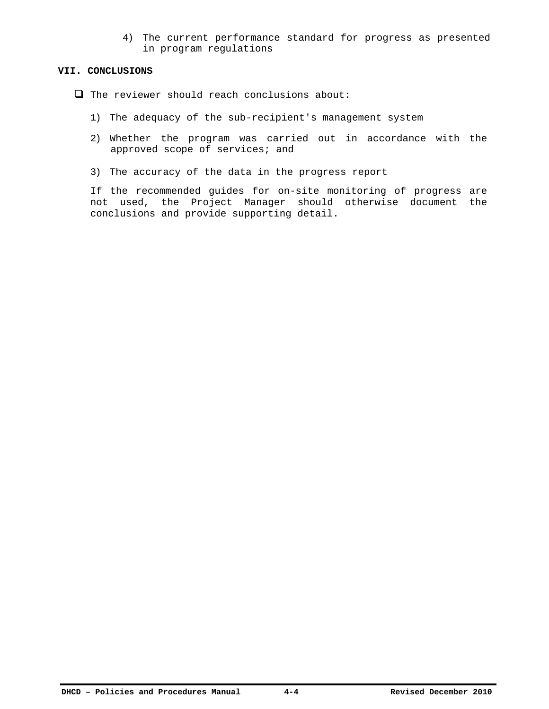4) The current performance standard for progress as presented in program regulations

#### **VII. CONCLUSIONS**

- $\Box$  The reviewer should reach conclusions about:
	- 1) The adequacy of the sub-recipient's management system
	- 2) Whether the program was carried out in accordance with the approved scope of services; and
	- 3) The accuracy of the data in the progress report

If the recommended guides for on-site monitoring of progress are not used, the Project Manager should otherwise document the conclusions and provide supporting detail.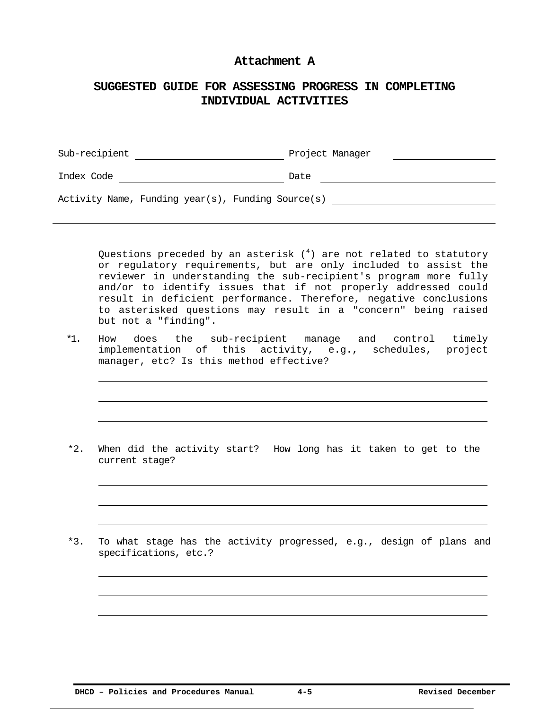### **Attachment A**

## **SUGGESTED GUIDE FOR ASSESSING PROGRESS IN COMPLETING INDIVIDUAL ACTIVITIES**

| Sub-recipient                                     | Project Manager |
|---------------------------------------------------|-----------------|
| Index Code                                        | Date            |
| Activity Name, Funding year(s), Funding Source(s) |                 |

Questions preceded by an asterisk  $(^4)$  are not related to statutory or regulatory requirements, but are only included to assist the reviewer in understanding the sub-recipient's program more fully and/or to identify issues that if not properly addressed could result in deficient performance. Therefore, negative conclusions to asterisked questions may result in a "concern" being raised but not a "finding".

\*1. How does the sub-recipient manage and control timely implementation of this activity, e.g., schedules, project manager, etc? Is this method effective?

\*2. When did the activity start? How long has it taken to get to the current stage?

\*3. To what stage has the activity progressed, e.g., design of plans and specifications, etc.?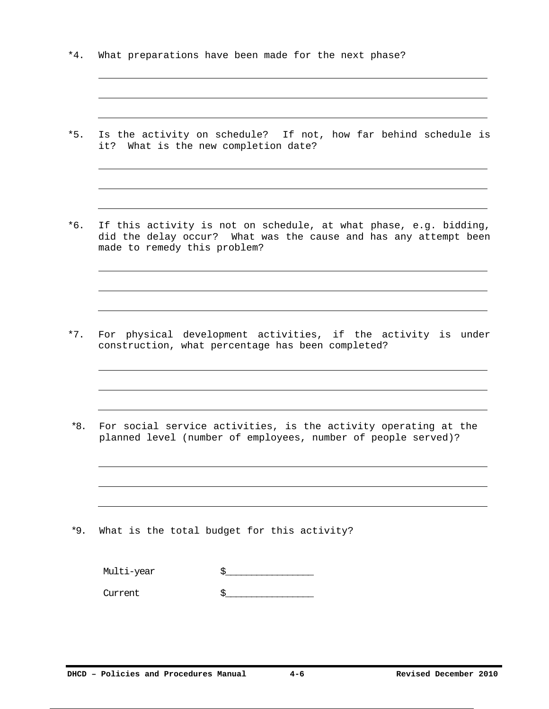- \*4. What preparations have been made for the next phase?
- \*5. Is the activity on schedule? If not, how far behind schedule is it? What is the new completion date?
- \*6. If this activity is not on schedule, at what phase, e.g. bidding, did the delay occur? What was the cause and has any attempt been made to remedy this problem?

- \*7. For physical development activities, if the activity is under construction, what percentage has been completed?
- \*8. For social service activities, is the activity operating at the planned level (number of employees, number of people served)?

\*9. What is the total budget for this activity?

| Multi-year |  |
|------------|--|
| Current    |  |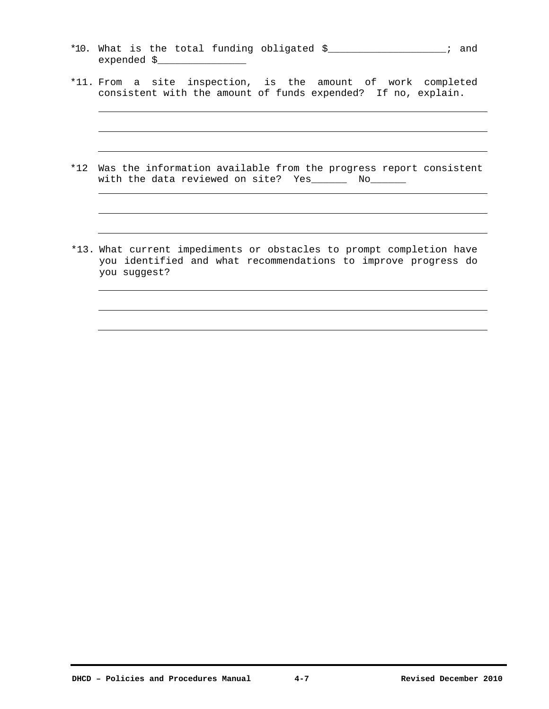- \*10. What is the total funding obligated \$\_\_\_\_\_\_\_\_\_\_\_\_\_\_\_\_\_\_\_\_; and expended \$\_\_\_\_\_\_\_\_\_\_\_\_\_\_\_
- \*11. From a site inspection, is the amount of work completed consistent with the amount of funds expended? If no, explain.
- \*12 Was the information available from the progress report consistent with the data reviewed on site? Yes\_\_\_\_\_\_ No\_\_\_\_\_\_
- \*13. What current impediments or obstacles to prompt completion have you identified and what recommendations to improve progress do you suggest?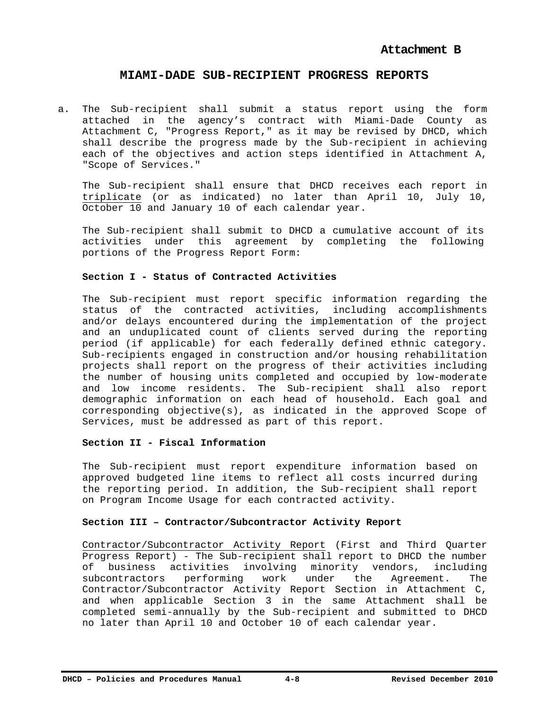### **MIAMI-DADE SUB-RECIPIENT PROGRESS REPORTS**

a. The Sub-recipient shall submit a status report using the form attached in the agency's contract with Miami-Dade County as Attachment C, "Progress Report," as it may be revised by DHCD, which shall describe the progress made by the Sub-recipient in achieving each of the objectives and action steps identified in Attachment A, "Scope of Services."

The Sub-recipient shall ensure that DHCD receives each report in triplicate (or as indicated) no later than April 10, July 10, October 10 and January 10 of each calendar year.

The Sub-recipient shall submit to DHCD a cumulative account of its activities under this agreement by completing the following portions of the Progress Report Form:

### **Section I - Status of Contracted Activities**

The Sub-recipient must report specific information regarding the status of the contracted activities, including accomplishments and/or delays encountered during the implementation of the project and an unduplicated count of clients served during the reporting period (if applicable) for each federally defined ethnic category. Sub-recipients engaged in construction and/or housing rehabilitation projects shall report on the progress of their activities including the number of housing units completed and occupied by low-moderate and low income residents. The Sub-recipient shall also report demographic information on each head of household. Each goal and corresponding objective(s), as indicated in the approved Scope of Services, must be addressed as part of this report.

### **Section II - Fiscal Information**

The Sub-recipient must report expenditure information based on approved budgeted line items to reflect all costs incurred during the reporting period. In addition, the Sub-recipient shall report on Program Income Usage for each contracted activity.

### **Section III – Contractor/Subcontractor Activity Report**

Contractor/Subcontractor Activity Report (First and Third Quarter Progress Report) - The Sub-recipient shall report to DHCD the number of business activities involving minority vendors, including subcontractors performing work under the Agreement. The Contractor/Subcontractor Activity Report Section in Attachment C, and when applicable Section 3 in the same Attachment shall be completed semi-annually by the Sub-recipient and submitted to DHCD no later than April 10 and October 10 of each calendar year.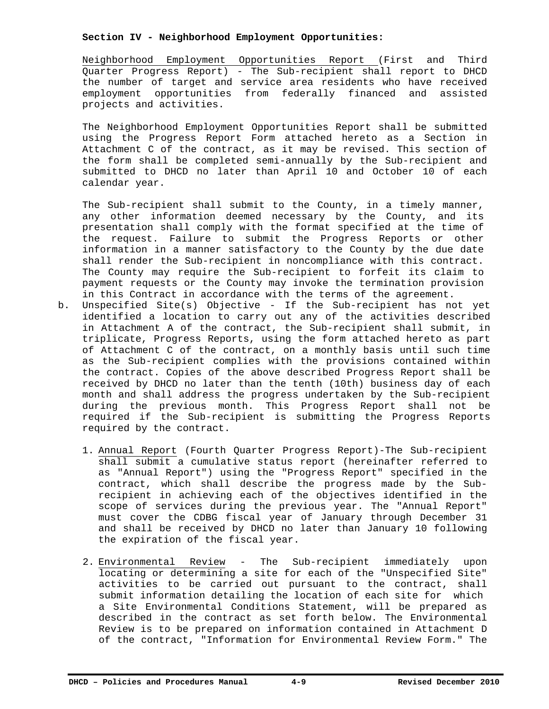### **Section IV - Neighborhood Employment Opportunities:**

Neighborhood Employment Opportunities Report (First and Third Quarter Progress Report) - The Sub-recipient shall report to DHCD the number of target and service area residents who have received employment opportunities from federally financed and assisted projects and activities.

The Neighborhood Employment Opportunities Report shall be submitted using the Progress Report Form attached hereto as a Section in Attachment C of the contract, as it may be revised. This section of the form shall be completed semi-annually by the Sub-recipient and submitted to DHCD no later than April 10 and October 10 of each calendar year.

The Sub-recipient shall submit to the County, in a timely manner, any other information deemed necessary by the County, and its presentation shall comply with the format specified at the time of the request. Failure to submit the Progress Reports or other information in a manner satisfactory to the County by the due date shall render the Sub-recipient in noncompliance with this contract. The County may require the Sub-recipient to forfeit its claim to payment requests or the County may invoke the termination provision in this Contract in accordance with the terms of the agreement.

- b. Unspecified Site(s) Objective If the Sub-recipient has not yet identified a location to carry out any of the activities described in Attachment A of the contract, the Sub-recipient shall submit, in triplicate, Progress Reports, using the form attached hereto as part of Attachment C of the contract, on a monthly basis until such time as the Sub-recipient complies with the provisions contained within the contract. Copies of the above described Progress Report shall be received by DHCD no later than the tenth (10th) business day of each month and shall address the progress undertaken by the Sub-recipient during the previous month. This Progress Report shall not be required if the Sub-recipient is submitting the Progress Reports required by the contract.
	- 1. Annual Report (Fourth Quarter Progress Report)-The Sub-recipient shall submit a cumulative status report (hereinafter referred to as "Annual Report") using the "Progress Report" specified in the contract, which shall describe the progress made by the Subrecipient in achieving each of the objectives identified in the scope of services during the previous year. The "Annual Report" must cover the CDBG fiscal year of January through December 31 and shall be received by DHCD no later than January 10 following the expiration of the fiscal year.
	- 2. Environmental Review The Sub-recipient immediately upon locating or determining a site for each of the "Unspecified Site" activities to be carried out pursuant to the contract, shall submit information detailing the location of each site for which a Site Environmental Conditions Statement, will be prepared as described in the contract as set forth below. The Environmental Review is to be prepared on information contained in Attachment D of the contract, "Information for Environmental Review Form." The